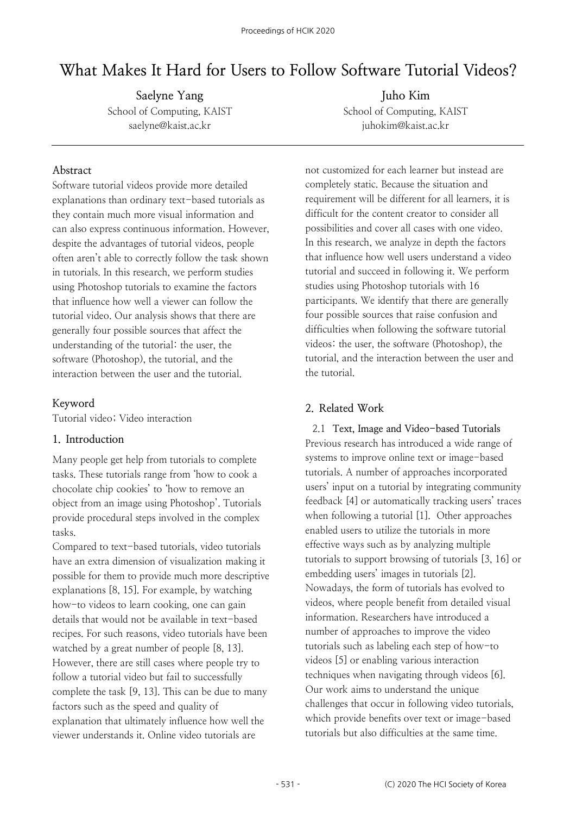# **What Makes It Hard for Users to Follow Software Tutorial Videos?**

**Saelyne Yang** School of Computing, KAIST saelyne@kaist.ac.kr

#### **Abstract**

Software tutorial videos provide more detailed explanations than ordinary text-based tutorials as they contain much more visual information and can also express continuous information. However, despite the advantages of tutorial videos, people often aren't able to correctly follow the task shown in tutorials. In this research, we perform studies using Photoshop tutorials to examine the factors that influence how well a viewer can follow the tutorial video. Our analysis shows that there are generally four possible sources that affect the understanding of the tutorial: the user, the software (Photoshop), the tutorial, and the interaction between the user and the tutorial.

## **Keyword**

Tutorial video; Video interaction

## **1. Introduction**

Many people get help from tutorials to complete tasks. These tutorials range from 'how to cook a chocolate chip cookies' to 'how to remove an object from an image using Photoshop'. Tutorials provide procedural steps involved in the complex tasks.

Compared to text-based tutorials, video tutorials have an extra dimension of visualization making it possible for them to provide much more descriptive explanations [8, 15]. For example, by watching how-to videos to learn cooking, one can gain details that would not be available in text-based recipes. For such reasons, video tutorials have been watched by a great number of people [8, 13]. However, there are still cases where people try to follow a tutorial video but fail to successfully complete the task [9, 13]. This can be due to many factors such as the speed and quality of explanation that ultimately influence how well the viewer understands it. Online video tutorials are

**Juho Kim** School of Computing, KAIST juhokim@kaist.ac.kr

not customized for each learner but instead are completely static. Because the situation and requirement will be different for all learners, it is difficult for the content creator to consider all possibilities and cover all cases with one video. In this research, we analyze in depth the factors that influence how well users understand a video tutorial and succeed in following it. We perform studies using Photoshop tutorials with 16 participants. We identify that there are generally four possible sources that raise confusion and difficulties when following the software tutorial videos: the user, the software (Photoshop), the tutorial, and the interaction between the user and the tutorial.

## **2. Related Work**

2.1 **Text, Image and Video-based Tutorials** Previous research has introduced a wide range of systems to improve online text or image-based tutorials. A number of approaches incorporated users' input on a tutorial by integrating community feedback [4] or automatically tracking users' traces when following a tutorial [1]. Other approaches enabled users to utilize the tutorials in more effective ways such as by analyzing multiple tutorials to support browsing of tutorials [3, 16] or embedding users' images in tutorials [2]. Nowadays, the form of tutorials has evolved to videos, where people benefit from detailed visual information. Researchers have introduced a number of approaches to improve the video tutorials such as labeling each step of how-to videos [5] or enabling various interaction techniques when navigating through videos [6]. Our work aims to understand the unique challenges that occur in following video tutorials, which provide benefits over text or image-based tutorials but also difficulties at the same time.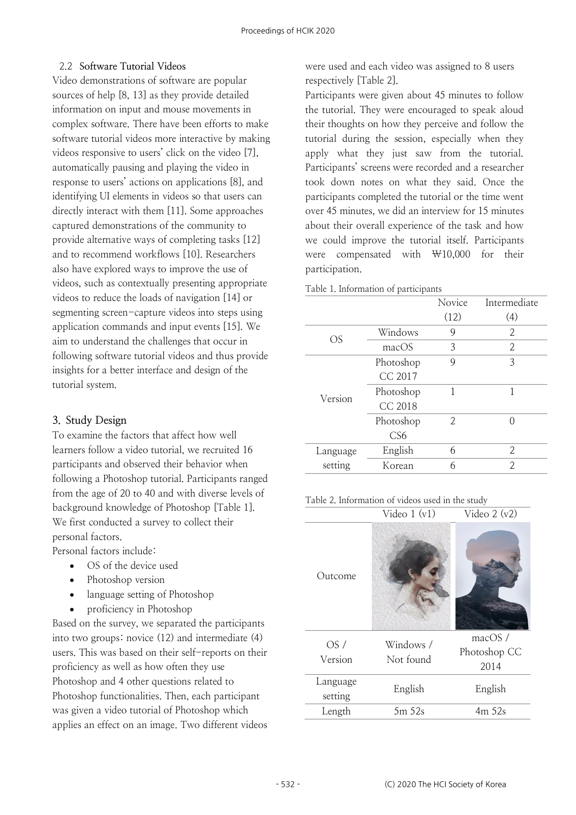## 2.2 **Software Tutorial Videos**

Video demonstrations of software are popular sources of help [8, 13] as they provide detailed information on input and mouse movements in complex software. There have been efforts to make software tutorial videos more interactive by making videos responsive to users' click on the video [7], automatically pausing and playing the video in response to users' actions on applications [8], and identifying UI elements in videos so that users can directly interact with them [11]. Some approaches captured demonstrations of the community to provide alternative ways of completing tasks [12] and to recommend workflows [10]. Researchers also have explored ways to improve the use of videos, such as contextually presenting appropriate videos to reduce the loads of navigation [14] or segmenting screen-capture videos into steps using application commands and input events [15]. We aim to understand the challenges that occur in following software tutorial videos and thus provide insights for a better interface and design of the tutorial system.

## **3. Study Design**

To examine the factors that affect how well learners follow a video tutorial, we recruited 16 participants and observed their behavior when following a Photoshop tutorial. Participants ranged from the age of 20 to 40 and with diverse levels of background knowledge of Photoshop [Table 1]. We first conducted a survey to collect their personal factors.

Personal factors include:

- OS of the device used
- Photoshop version
- language setting of Photoshop
- proficiency in Photoshop

Based on the survey, we separated the participants into two groups: novice (12) and intermediate (4) users. This was based on their self-reports on their proficiency as well as how often they use Photoshop and 4 other questions related to Photoshop functionalities. Then, each participant was given a video tutorial of Photoshop which applies an effect on an image. Two different videos were used and each video was assigned to 8 users respectively [Table 2].

Participants were given about 45 minutes to follow the tutorial. They were encouraged to speak aloud their thoughts on how they perceive and follow the tutorial during the session, especially when they apply what they just saw from the tutorial. Participants' screens were recorded and a researcher took down notes on what they said. Once the participants completed the tutorial or the time went over 45 minutes, we did an interview for 15 minutes about their overall experience of the task and how we could improve the tutorial itself. Participants were compensated with  $\Psi$ 10,000 for their participation.

|  |  | Table 1. Information of participants |
|--|--|--------------------------------------|
|  |  |                                      |

|          |                 | Novice | Intermediate |
|----------|-----------------|--------|--------------|
|          |                 | (12)   | (4)          |
| OS       | Windows         | 9      | 2            |
|          | macOS           | 3      | 2            |
|          | Photoshop       | 9      | 3            |
|          | CC 2017         |        |              |
| Version  | Photoshop       | 1      | 1            |
|          | <b>CC 2018</b>  |        |              |
|          | Photoshop       | 2      |              |
|          | CS <sub>6</sub> |        |              |
| Language | English         | 6      | 2            |
| setting  | Korean          | 6      | 2            |

 $Vid_{\infty} 1 (v_1)$   $Vid_{\infty} 2 (v_2)$ 

| Table 2. Information of videos used in the study |  |  |  |
|--------------------------------------------------|--|--|--|
|--------------------------------------------------|--|--|--|

|                | $V$ IUCO I ( $V1$ )    | $V \sim V$              |
|----------------|------------------------|-------------------------|
| Outcome        |                        |                         |
| OS/<br>Version | Windows /<br>Not found | macOS /<br>Photoshop CC |
|                |                        | 2014                    |
| Language       | English                | English                 |
| setting        |                        |                         |
| Length         | 5m 52s                 | 4m 52s                  |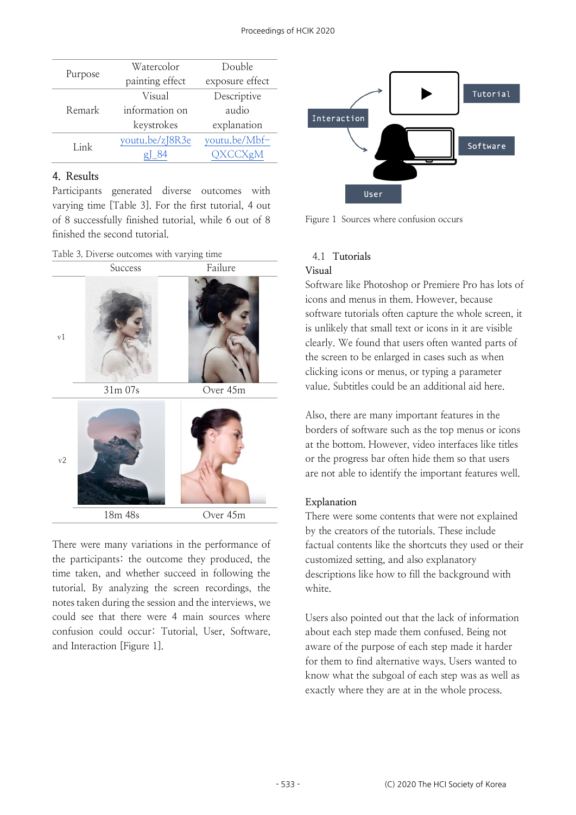|         | Watercolor      | Double          |  |
|---------|-----------------|-----------------|--|
| Purpose | painting effect | exposure effect |  |
|         | Visual          | Descriptive     |  |
| Remark  | information on  | audio           |  |
|         | keystrokes      | explanation     |  |
| Link    | youtu.be/zJ8R3e | youtu.be/Mbf-   |  |
|         | - 84            | QXCCXgM         |  |

## **4. Results**

Participants generated diverse outcomes with varying time [Table 3]. For the first tutorial, 4 out of 8 successfully finished tutorial, while 6 out of 8 finished the second tutorial.

| Table 3. Diverse outcomes with varying time |  |
|---------------------------------------------|--|
|---------------------------------------------|--|



There were many variations in the performance of the participants: the outcome they produced, the time taken, and whether succeed in following the tutorial. By analyzing the screen recordings, the notes taken during the session and the interviews, we could see that there were 4 main sources where confusion could occur: Tutorial, User, Software, and Interaction [Figure 1].



Figure 1 Sources where confusion occurs

## 4.1 **Tutorials**

#### **Visual**

Software like Photoshop or Premiere Pro has lots of icons and menus in them. However, because software tutorials often capture the whole screen, it is unlikely that small text or icons in it are visible clearly. We found that users often wanted parts of the screen to be enlarged in cases such as when clicking icons or menus, or typing a parameter value. Subtitles could be an additional aid here.

Also, there are many important features in the borders of software such as the top menus or icons at the bottom. However, video interfaces like titles or the progress bar often hide them so that users are not able to identify the important features well.

#### **Explanation**

There were some contents that were not explained by the creators of the tutorials. These include factual contents like the shortcuts they used or their customized setting, and also explanatory descriptions like how to fill the background with white.

Users also pointed out that the lack of information about each step made them confused. Being not aware of the purpose of each step made it harder for them to find alternative ways. Users wanted to know what the subgoal of each step was as well as exactly where they are at in the whole process.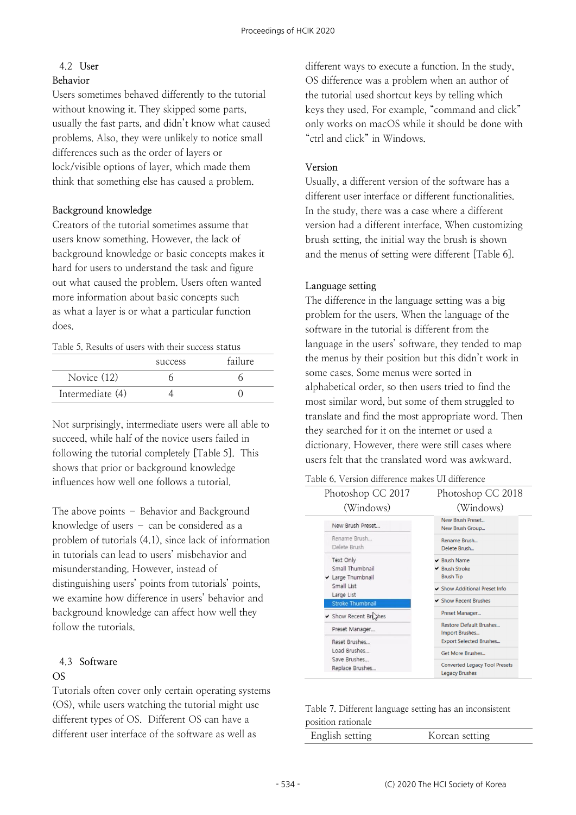## 4.2 **User**

#### **Behavior**

Users sometimes behaved differently to the tutorial without knowing it. They skipped some parts, usually the fast parts, and didn't know what caused problems. Also, they were unlikely to notice small differences such as the order of layers or lock/visible options of layer, which made them think that something else has caused a problem.

## **Background knowledge**

Creators of the tutorial sometimes assume that users know something. However, the lack of background knowledge or basic concepts makes it hard for users to understand the task and figure out what caused the problem. Users often wanted more information about basic concepts such as what a layer is or what a particular function does.

#### Table 5. Results of users with their success status

|                  | success | failure |
|------------------|---------|---------|
| Novice (12)      |         |         |
| Intermediate (4) |         |         |

Not surprisingly, intermediate users were all able to succeed, while half of the novice users failed in following the tutorial completely [Table 5]. This shows that prior or background knowledge influences how well one follows a tutorial.

The above points – Behavior and Background knowledge of users – can be considered as a problem of tutorials (4.1), since lack of information in tutorials can lead to users' misbehavior and misunderstanding. However, instead of distinguishing users' points from tutorials' points, we examine how difference in users' behavior and background knowledge can affect how well they follow the tutorials.

## 4.3 **Software**

#### **OS**

Tutorials often cover only certain operating systems (OS), while users watching the tutorial might use different types of OS. Different OS can have a different user interface of the software as well as

different ways to execute a function. In the study, OS difference was a problem when an author of the tutorial used shortcut keys by telling which keys they used. For example, "command and click" only works on macOS while it should be done with "ctrl and click" in Windows.

## **Version**

Usually, a different version of the software has a different user interface or different functionalities. In the study, there was a case where a different version had a different interface. When customizing brush setting, the initial way the brush is shown and the menus of setting were different [Table 6].

## **Language setting**

The difference in the language setting was a big problem for the users. When the language of the software in the tutorial is different from the language in the users' software, they tended to map the menus by their position but this didn't work in some cases. Some menus were sorted in alphabetical order, so then users tried to find the most similar word, but some of them struggled to translate and find the most appropriate word. Then they searched for it on the internet or used a dictionary. However, there were still cases where users felt that the translated word was awkward.

#### Table 6. Version difference makes UI difference

| Photoshop CC 2017                                                           | Photoshop CC 2018                                                                           |  |  |
|-----------------------------------------------------------------------------|---------------------------------------------------------------------------------------------|--|--|
| (Windows)                                                                   | (Windows)                                                                                   |  |  |
| New Brush Preset                                                            | New Brush Preset<br>New Brush Group                                                         |  |  |
| Rename Brush<br>Delete Brush                                                | Rename Brush<br>Delete Brush                                                                |  |  |
| Text Only<br>Small Thumbnail<br>Large Thumbnail<br>Small List<br>Large List | $\vee$ Brush Name<br>$\vee$ Brush Stroke<br><b>Brush Tip</b><br>Show Additional Preset Info |  |  |
| <b>Stroke Thumbnail</b>                                                     | ✔ Show Recent Brushes                                                                       |  |  |
| Show Recent Brighes                                                         | Preset Manager                                                                              |  |  |
| Preset Manager                                                              | <b>Restore Default Brushes</b><br>Import Brushes                                            |  |  |
| Reset Brushes                                                               | <b>Export Selected Brushes</b>                                                              |  |  |
| Load Brushes<br>Save Brushes                                                | <b>Get More Brushes</b>                                                                     |  |  |
| Replace Brushes                                                             | <b>Converted Legacy Tool Presets</b><br><b>Legacy Brushes</b>                               |  |  |

| Table 7. Different language setting has an inconsistent |  |  |  |
|---------------------------------------------------------|--|--|--|
| position rationale                                      |  |  |  |

| English setting | Korean setting |
|-----------------|----------------|
|                 |                |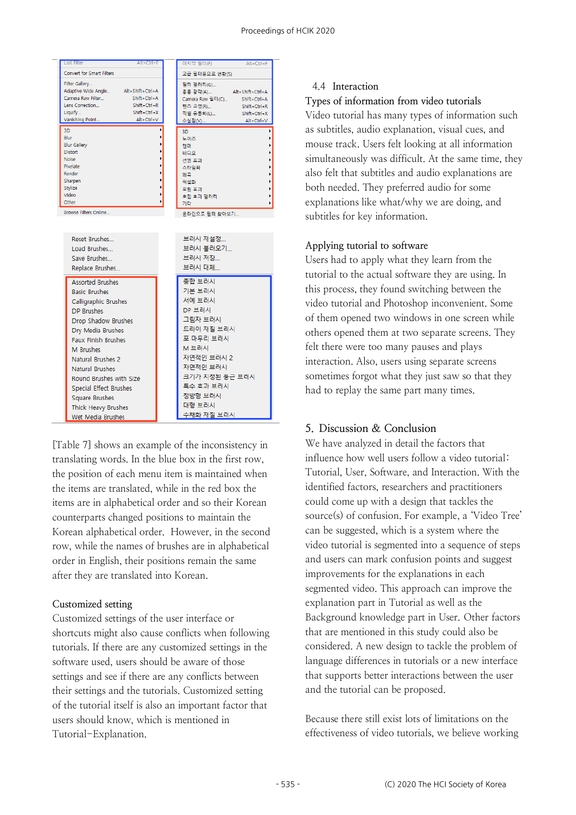

[Table 7] shows an example of the inconsistency in translating words. In the blue box in the first row, the position of each menu item is maintained when the items are translated, while in the red box the items are in alphabetical order and so their Korean counterparts changed positions to maintain the Korean alphabetical order. However, in the second row, while the names of brushes are in alphabetical order in English, their positions remain the same after they are translated into Korean.

#### **Customized setting**

Customized settings of the user interface or shortcuts might also cause conflicts when following tutorials. If there are any customized settings in the software used, users should be aware of those settings and see if there are any conflicts between their settings and the tutorials. Customized setting of the tutorial itself is also an important factor that users should know, which is mentioned in Tutorial-Explanation.

#### 4.4 **Interaction**

**Types of information from video tutorials**

Video tutorial has many types of information such as subtitles, audio explanation, visual cues, and mouse track. Users felt looking at all information simultaneously was difficult. At the same time, they also felt that subtitles and audio explanations are both needed. They preferred audio for some explanations like what/why we are doing, and subtitles for key information.

#### **Applying tutorial to software**

Users had to apply what they learn from the tutorial to the actual software they are using. In this process, they found switching between the video tutorial and Photoshop inconvenient. Some of them opened two windows in one screen while others opened them at two separate screens. They felt there were too many pauses and plays interaction. Also, users using separate screens sometimes forgot what they just saw so that they had to replay the same part many times.

### **5. Discussion & Conclusion**

We have analyzed in detail the factors that influence how well users follow a video tutorial: Tutorial, User, Software, and Interaction. With the identified factors, researchers and practitioners could come up with a design that tackles the source(s) of confusion. For example, a 'Video Tree' can be suggested, which is a system where the video tutorial is segmented into a sequence of steps and users can mark confusion points and suggest improvements for the explanations in each segmented video. This approach can improve the explanation part in Tutorial as well as the Background knowledge part in User. Other factors that are mentioned in this study could also be considered. A new design to tackle the problem of language differences in tutorials or a new interface that supports better interactions between the user and the tutorial can be proposed.

Because there still exist lots of limitations on the effectiveness of video tutorials, we believe working